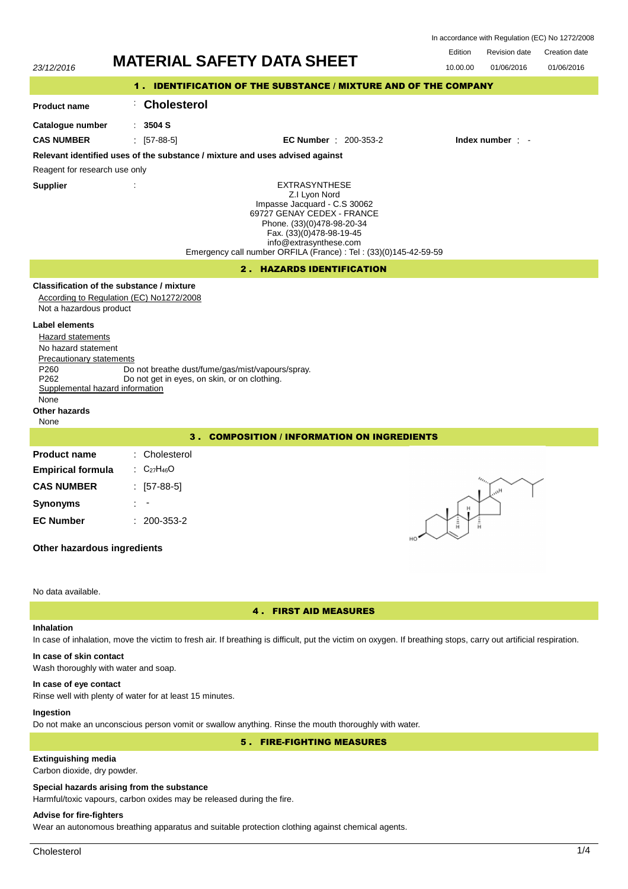| In accordance with Regulation (EC) No 1272/2008 |  |  |  |
|-------------------------------------------------|--|--|--|
|-------------------------------------------------|--|--|--|

| <b>MATERIAL SAFETY DATA SHEET</b><br>23/12/2016                                                                                                                                                                                                                                                                                                                                                                            | Edition<br>10.00.00 | <b>Revision date</b><br>01/06/2016                                 | Creation date<br>01/06/2016 |  |  |  |
|----------------------------------------------------------------------------------------------------------------------------------------------------------------------------------------------------------------------------------------------------------------------------------------------------------------------------------------------------------------------------------------------------------------------------|---------------------|--------------------------------------------------------------------|-----------------------------|--|--|--|
| 1. IDENTIFICATION OF THE SUBSTANCE / MIXTURE AND OF THE COMPANY                                                                                                                                                                                                                                                                                                                                                            |                     |                                                                    |                             |  |  |  |
| <b>Cholesterol</b><br><b>Product name</b>                                                                                                                                                                                                                                                                                                                                                                                  |                     |                                                                    |                             |  |  |  |
| : 3504 S<br>Catalogue number                                                                                                                                                                                                                                                                                                                                                                                               |                     |                                                                    |                             |  |  |  |
| <b>CAS NUMBER</b><br>$\pm$ [57-88-5]<br><b>EC Number</b> : 200-353-2                                                                                                                                                                                                                                                                                                                                                       |                     | Index number $\cdot$ -                                             |                             |  |  |  |
| Relevant identified uses of the substance / mixture and uses advised against<br>Reagent for research use only                                                                                                                                                                                                                                                                                                              |                     |                                                                    |                             |  |  |  |
| <b>EXTRASYNTHESE</b><br><b>Supplier</b><br>Z.I Lyon Nord<br>Impasse Jacquard - C.S 30062<br>69727 GENAY CEDEX - FRANCE<br>Phone. (33)(0)478-98-20-34<br>Fax. (33)(0)478-98-19-45<br>info@extrasynthese.com<br>Emergency call number ORFILA (France) : Tel : (33)(0)145-42-59-59                                                                                                                                            |                     |                                                                    |                             |  |  |  |
| 2. HAZARDS IDENTIFICATION                                                                                                                                                                                                                                                                                                                                                                                                  |                     |                                                                    |                             |  |  |  |
| Classification of the substance / mixture<br>According to Regulation (EC) No1272/2008<br>Not a hazardous product<br>Label elements<br>Hazard statements<br>No hazard statement<br>Precautionary statements<br>P <sub>260</sub><br>Do not breathe dust/fume/gas/mist/vapours/spray.<br>P <sub>262</sub><br>Do not get in eyes, on skin, or on clothing.<br>Supplemental hazard information<br>None<br>Other hazards<br>None |                     |                                                                    |                             |  |  |  |
| 3. COMPOSITION / INFORMATION ON INGREDIENTS                                                                                                                                                                                                                                                                                                                                                                                |                     |                                                                    |                             |  |  |  |
| Cholesterol<br><b>Product name</b><br>$C_{27}H_{46}O$<br><b>Empirical formula</b><br><b>CAS NUMBER</b><br>$: 57-88-5$<br><b>Synonyms</b><br><b>EC Number</b><br>200-353-2<br>Other hazardous ingredients                                                                                                                                                                                                                   | Ĥ<br>н.             | $\iota_{\iota_{t_{i}}}$<br>$\mathsf{H}_{\ell_{\ell_{\mathrm{c}}}}$ |                             |  |  |  |
| No data available.                                                                                                                                                                                                                                                                                                                                                                                                         |                     |                                                                    |                             |  |  |  |

## **Inhalation**

# 4 . FIRST AID MEASURES

In case of inhalation, move the victim to fresh air. If breathing is difficult, put the victim on oxygen. If breathing stops, carry out artificial respiration.

# **In case of skin contact**

Wash thoroughly with water and soap.

## **In case of eye contact**

Rinse well with plenty of water for at least 15 minutes.

# **Ingestion**

Do not make an unconscious person vomit or swallow anything. Rinse the mouth thoroughly with water.

5 . FIRE-FIGHTING MEASURES

# **Extinguishing media**

Carbon dioxide, dry powder.

## **Special hazards arising from the substance**

Harmful/toxic vapours, carbon oxides may be released during the fire.

# **Advise for fire-fighters**

Wear an autonomous breathing apparatus and suitable protection clothing against chemical agents.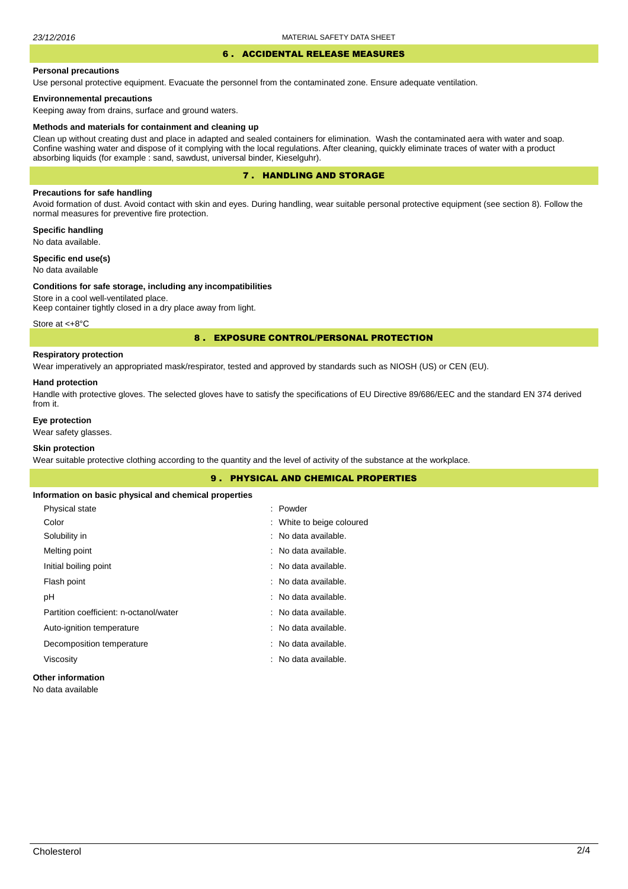## 6 . ACCIDENTAL RELEASE MEASURES

### **Personal precautions**

Use personal protective equipment. Evacuate the personnel from the contaminated zone. Ensure adequate ventilation.

### **Environnemental precautions**

Keeping away from drains, surface and ground waters.

#### **Methods and materials for containment and cleaning up**

Clean up without creating dust and place in adapted and sealed containers for elimination. Wash the contaminated aera with water and soap. Confine washing water and dispose of it complying with the local regulations. After cleaning, quickly eliminate traces of water with a product absorbing liquids (for example : sand, sawdust, universal binder, Kieselguhr).

## 7 . HANDLING AND STORAGE

## **Precautions for safe handling**

Avoid formation of dust. Avoid contact with skin and eyes. During handling, wear suitable personal protective equipment (see section 8). Follow the normal measures for preventive fire protection.

**Specific handling** No data available.

**Specific end use(s)**

## No data available

#### **Conditions for safe storage, including any incompatibilities**

Store in a cool well-ventilated place. Keep container tightly closed in a dry place away from light.

Store at <+8°C

### 8 . EXPOSURE CONTROL/PERSONAL PROTECTION

## **Respiratory protection**

Wear imperatively an appropriated mask/respirator, tested and approved by standards such as NIOSH (US) or CEN (EU).

#### **Hand protection**

Handle with protective gloves. The selected gloves have to satisfy the specifications of EU Directive 89/686/EEC and the standard EN 374 derived from it.

## **Eye protection**

Wear safety glasses.

## **Skin protection**

Wear suitable protective clothing according to the quantity and the level of activity of the substance at the workplace.

| <b>9. PHYSICAL AND CHEMICAL PROPERTIES</b>            |                           |  |  |  |
|-------------------------------------------------------|---------------------------|--|--|--|
| Information on basic physical and chemical properties |                           |  |  |  |
| Physical state                                        | : Powder                  |  |  |  |
| Color                                                 | : White to beige coloured |  |  |  |
| Solubility in                                         | : No data available.      |  |  |  |
| Melting point                                         | : No data available.      |  |  |  |
| Initial boiling point                                 | : No data available.      |  |  |  |
| Flash point                                           | : No data available.      |  |  |  |
| рH                                                    | : No data available.      |  |  |  |
| Partition coefficient: n-octanol/water                | : No data available.      |  |  |  |
| Auto-ignition temperature                             | : No data available.      |  |  |  |
| Decomposition temperature                             | : No data available.      |  |  |  |
| Viscosity                                             | : No data available.      |  |  |  |
|                                                       |                           |  |  |  |

### **Other information**

No data available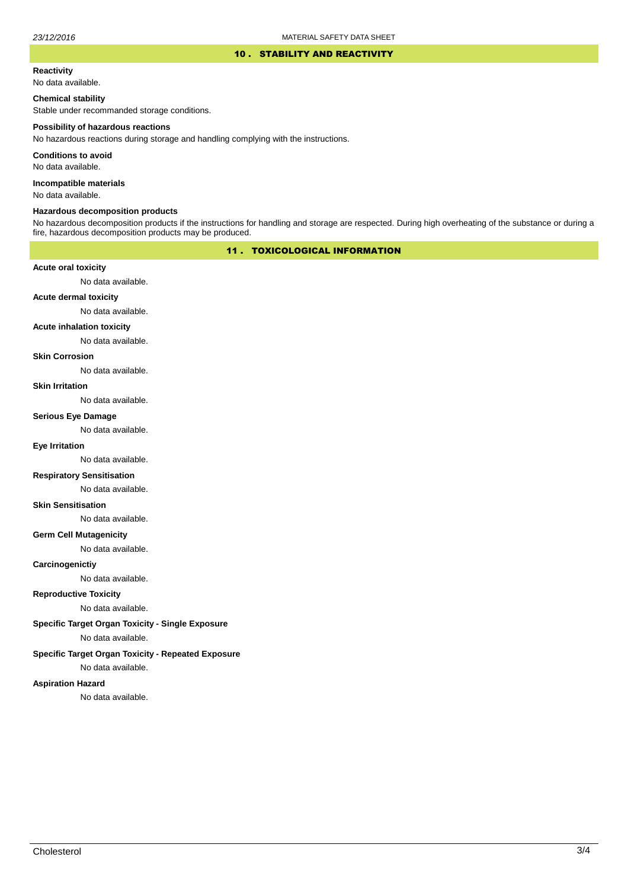### 10 . STABILITY AND REACTIVITY

## **Reactivity**

No data available.

### **Chemical stability**

Stable under recommanded storage conditions.

#### **Possibility of hazardous reactions**

No hazardous reactions during storage and handling complying with the instructions.

**Conditions to avoid**

No data available.

**Incompatible materials**

No data available.

## **Hazardous decomposition products**

No hazardous decomposition products if the instructions for handling and storage are respected. During high overheating of the substance or during a fire, hazardous decomposition products may be produced.

## 11 . TOXICOLOGICAL INFORMATION

### **Acute oral toxicity**

No data available.

# **Acute dermal toxicity**

No data available.

#### **Acute inhalation toxicity**

No data available.

### **Skin Corrosion**

No data available.

#### **Skin Irritation**

No data available.

# **Serious Eye Damage**

No data available.

## **Eye Irritation**

No data available.

### **Respiratory Sensitisation**

No data available.

### **Skin Sensitisation**

No data available.

### **Germ Cell Mutagenicity**

No data available.

### **Carcinogenictiy**

No data available.

## **Reproductive Toxicity**

No data available.

## **Specific Target Organ Toxicity - Single Exposure**

No data available.

### **Specific Target Organ Toxicity - Repeated Exposure**

No data available.

### **Aspiration Hazard**

No data available.